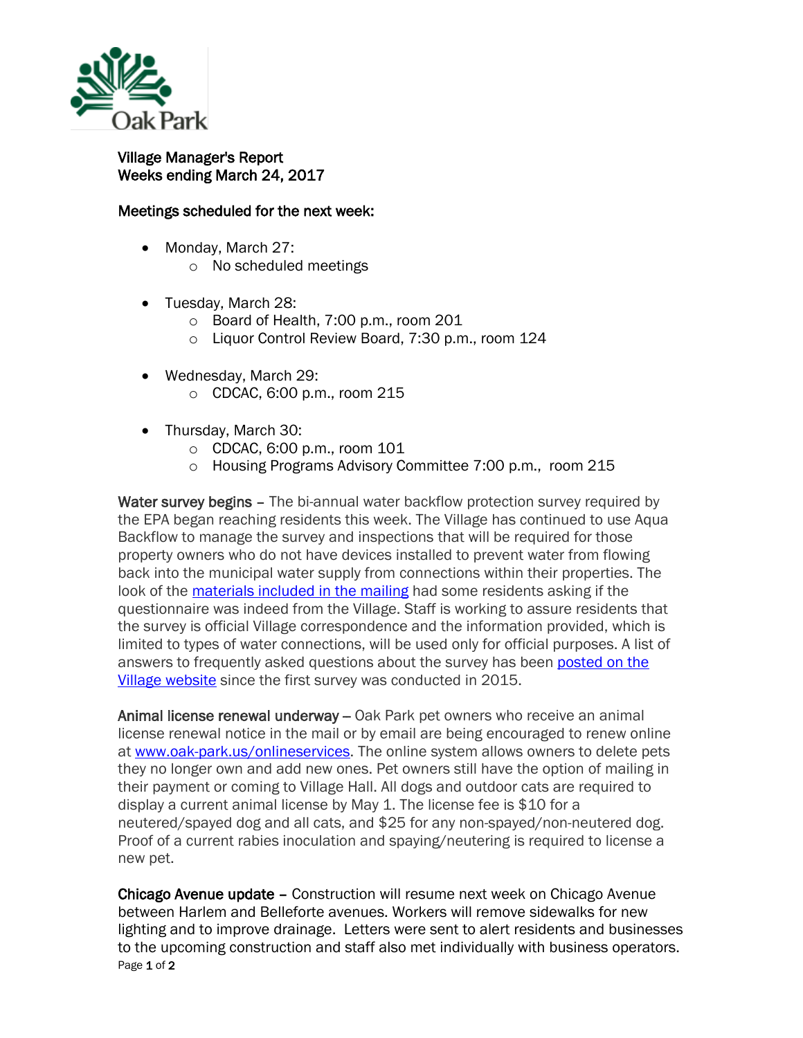

## Village Manager's Report Weeks ending March 24, 2017

## Meetings scheduled for the next week:

- Monday, March 27:
	- o No scheduled meetings
- Tuesday, March 28:
	- o Board of Health, 7:00 p.m., room 201
	- o Liquor Control Review Board, 7:30 p.m., room 124
- Wednesday, March 29: o CDCAC, 6:00 p.m., room 215
- Thursday, March 30:
	- o CDCAC, 6:00 p.m., room 101
	- o Housing Programs Advisory Committee 7:00 p.m., room 215

Water survey begins – The bi-annual water backflow protection survey required by the EPA began reaching residents this week. The Village has continued to use Aqua Backflow to manage the survey and inspections that will be required for those property owners who do not have devices installed to prevent water from flowing back into the municipal water supply from connections within their properties. The look of the [materials included in the mailing](http://www.oak-park.us/sites/default/files/456678891/2017-cross-connection-survey.pdf) had some residents asking if the questionnaire was indeed from the Village. Staff is working to assure residents that the survey is official Village correspondence and the information provided, which is limited to types of water connections, will be used only for official purposes. A list of answers to frequently asked questions about the survey has been [posted on the](http://www.oak-park.us/village-services/public-works/cross-connection-survey-faqs)  [Village website](http://www.oak-park.us/village-services/public-works/cross-connection-survey-faqs) since the first survey was conducted in 2015.

Animal license renewal underway – Oak Park pet owners who receive an animal license renewal notice in the mail or by email are being encouraged to renew online at [www.oak-park.us/onlineservices.](http://mxrelay.oak-park.us:32224/?dmVyPTEuMDAxJiY2ZTdhZTA2ZGVkOTIxZmRjZj01OENDM0EzOF8xNjA5NV8xMjRfMSYmY2M2MWVlYjZjMDBkOTJlPTEyMzMmJnVybD1odHRwJTNBJTJGJTJGcjIwJTJFcnM2JTJFbmV0JTJGdG4lMkVqc3AlM0Z0JTNEdHk4cmpiOWFiJTJFMCUyRTAlMkVxZGNsbG1tYWIlMkUwJTI2aWQlM0RwcmV2aWV3JTI2ciUzRDMlMjZwJTNEaHR0cCUzQSUyRiUyRnd3dyUyRW9hay1wYXJrJTJFdXMlMkZvbmxpbmVzZXJ2aWNlcw==) The online system allows owners to delete pets they no longer own and add new ones. Pet owners still have the option of mailing in their payment or coming to Village Hall. All dogs and outdoor cats are required to display a current animal license by May 1. The license fee is \$10 for a neutered/spayed dog and all cats, and \$25 for any non-spayed/non-neutered dog. Proof of a current rabies inoculation and spaying/neutering is required to license a new pet.

Page 1 of 2 Chicago Avenue update – Construction will resume next week on Chicago Avenue between Harlem and Belleforte avenues. Workers will remove sidewalks for new lighting and to improve drainage. Letters were sent to alert residents and businesses to the upcoming construction and staff also met individually with business operators.